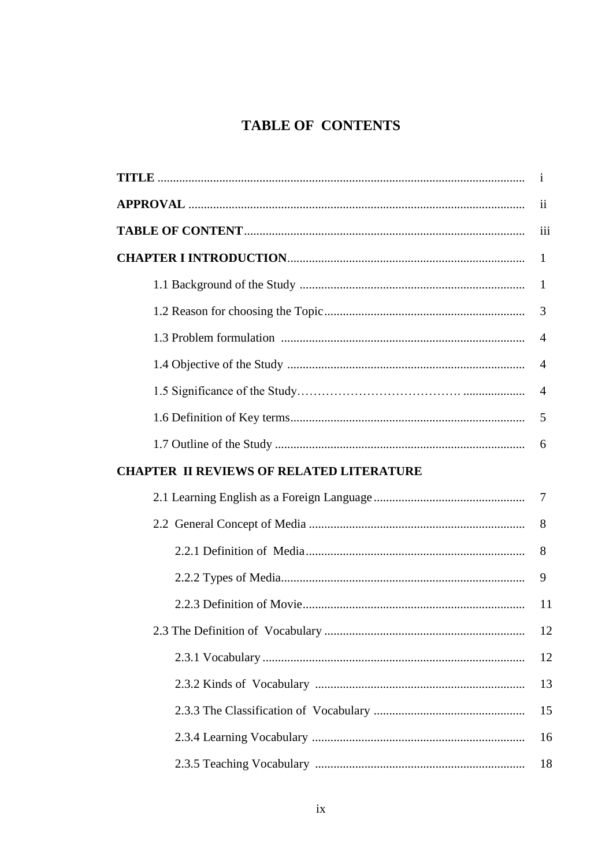## TABLE OF CONTENTS

|                                                 | i              |
|-------------------------------------------------|----------------|
|                                                 | $\mathbf{ii}$  |
|                                                 | iii            |
|                                                 | $\mathbf{1}$   |
|                                                 | $\mathbf 1$    |
|                                                 | 3              |
|                                                 | $\overline{4}$ |
|                                                 | $\overline{4}$ |
|                                                 | $\overline{4}$ |
|                                                 | 5              |
|                                                 | 6              |
| <b>CHAPTER II REVIEWS OF RELATED LITERATURE</b> |                |
|                                                 |                |
|                                                 | 8              |
|                                                 | 8              |
|                                                 | 9              |
|                                                 | 11             |
|                                                 | 12             |
|                                                 | 12             |
|                                                 | 13             |
|                                                 | 15             |
|                                                 | 16             |
|                                                 | 18             |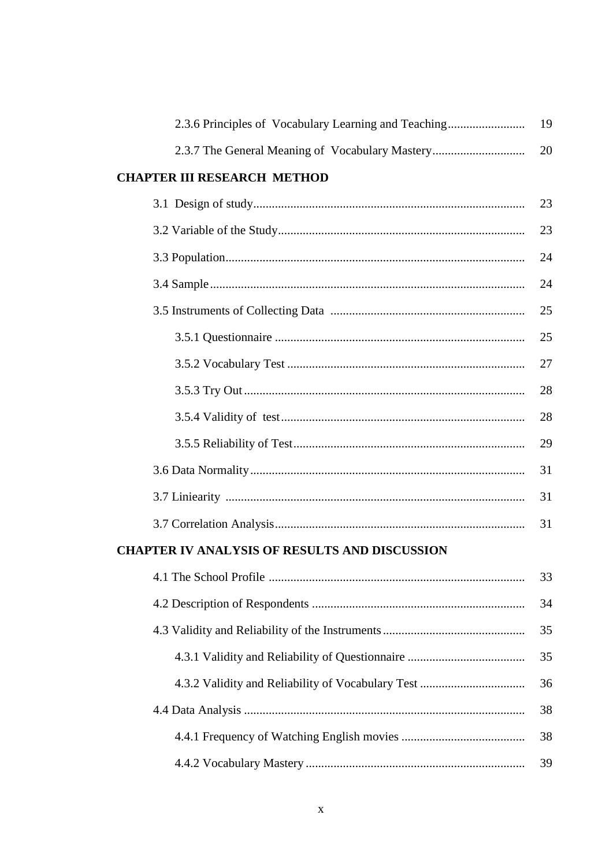| 2.3.6 Principles of Vocabulary Learning and Teaching | 19 |
|------------------------------------------------------|----|
| 2.3.7 The General Meaning of Vocabulary Mastery      | 20 |
| <b>CHAPTER III RESEARCH METHOD</b>                   |    |
|                                                      | 23 |
|                                                      | 23 |
|                                                      | 24 |
|                                                      | 24 |
|                                                      | 25 |
|                                                      | 25 |
|                                                      | 27 |
|                                                      | 28 |
|                                                      | 28 |
|                                                      | 29 |
|                                                      | 31 |
|                                                      | 31 |
|                                                      | 31 |
| <b>CHAPTER IV ANALYSIS OF RESULTS AND DISCUSSION</b> |    |
|                                                      | 33 |
|                                                      | 34 |
|                                                      | 35 |
|                                                      | 35 |
|                                                      | 36 |
|                                                      | 38 |
|                                                      | 38 |
|                                                      | 39 |